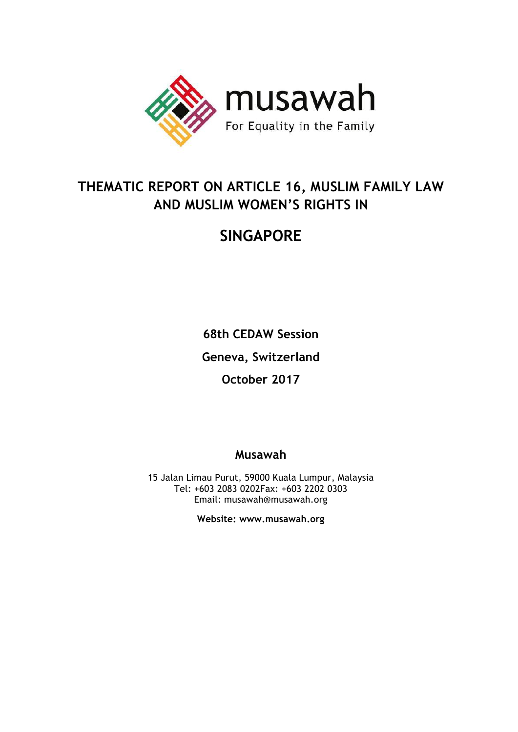

# **THEMATIC REPORT ON ARTICLE 16, MUSLIM FAMILY LAW AND MUSLIM WOMEN'S RIGHTS IN**

# **SINGAPORE**

**68th CEDAW Session Geneva, Switzerland October 2017**

## **Musawah**

15 Jalan Limau Purut, 59000 Kuala Lumpur, Malaysia Tel: +603 2083 0202Fax: +603 2202 0303 Email: musawah@musawah.org

**Website: www.musawah.org**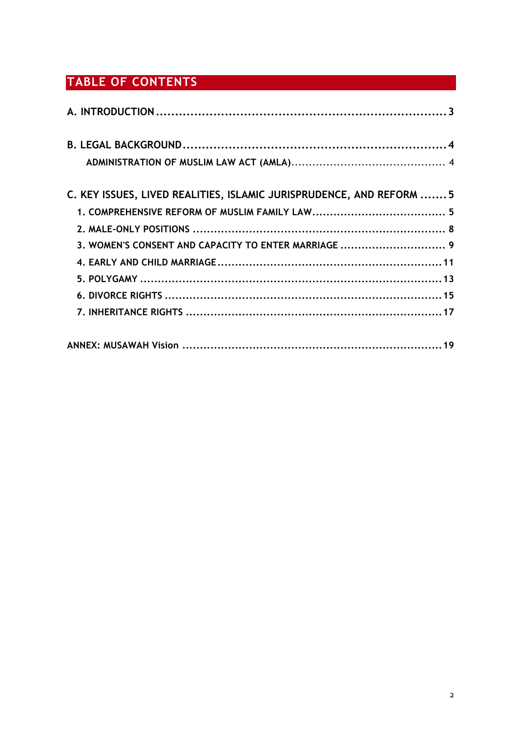# **TABLE OF CONTENTS**

| C. KEY ISSUES, LIVED REALITIES, ISLAMIC JURISPRUDENCE, AND REFORM  5 |  |
|----------------------------------------------------------------------|--|
|                                                                      |  |
|                                                                      |  |
| 3. WOMEN'S CONSENT AND CAPACITY TO ENTER MARRIAGE  9                 |  |
|                                                                      |  |
|                                                                      |  |
|                                                                      |  |
|                                                                      |  |
|                                                                      |  |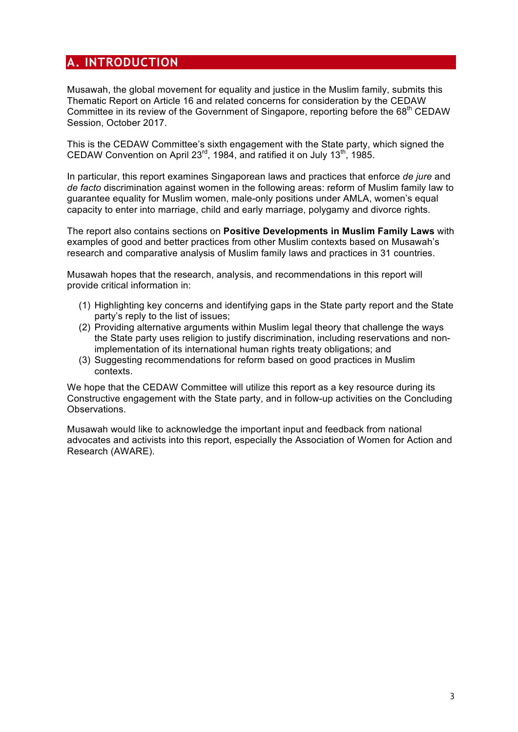## **A. INTRODUCTION**

Musawah, the global movement for equality and justice in the Muslim family, submits this Thematic Report on Article 16 and related concerns for consideration by the CEDAW Committee in its review of the Government of Singapore, reporting before the 68<sup>th</sup> CEDAW Session, October 2017.

This is the CEDAW Committee's sixth engagement with the State party, which signed the CEDAW Convention on April 23<sup>rd</sup>, 1984, and ratified it on July 13<sup>th</sup>, 1985.

In particular, this report examines Singaporean laws and practices that enforce *de jure* and *de facto* discrimination against women in the following areas: reform of Muslim family law to guarantee equality for Muslim women, male-only positions under AMLA, women's equal capacity to enter into marriage, child and early marriage, polygamy and divorce rights.

The report also contains sections on **Positive Developments in Muslim Family Laws** with examples of good and better practices from other Muslim contexts based on Musawah's research and comparative analysis of Muslim family laws and practices in 31 countries.

Musawah hopes that the research, analysis, and recommendations in this report will provide critical information in:

- (1) Highlighting key concerns and identifying gaps in the State party report and the State party's reply to the list of issues;
- (2) Providing alternative arguments within Muslim legal theory that challenge the ways the State party uses religion to justify discrimination, including reservations and nonimplementation of its international human rights treaty obligations; and
- (3) Suggesting recommendations for reform based on good practices in Muslim contexts.

We hope that the CEDAW Committee will utilize this report as a key resource during its Constructive engagement with the State party, and in follow-up activities on the Concluding Observations.

Musawah would like to acknowledge the important input and feedback from national advocates and activists into this report, especially the Association of Women for Action and Research (AWARE).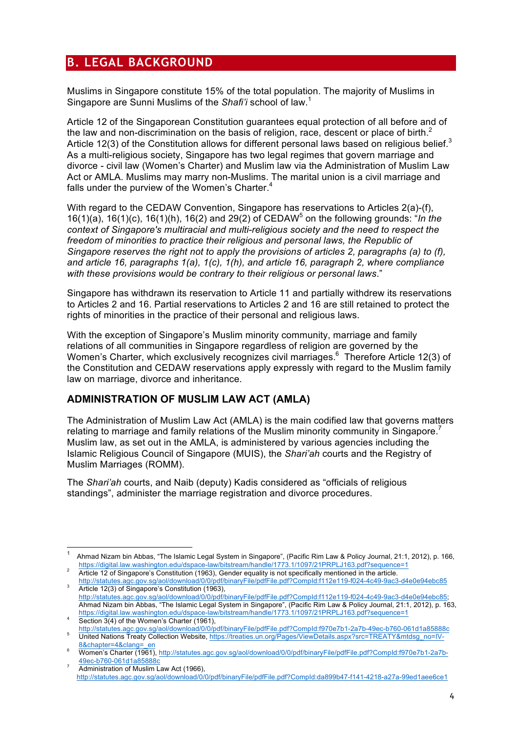## **B. LEGAL BACKGROUND**

Muslims in Singapore constitute 15% of the total population. The majority of Muslims in Singapore are Sunni Muslims of the *Shafi'i* school of law. 1

Article 12 of the Singaporean Constitution guarantees equal protection of all before and of the law and non-discrimination on the basis of religion, race, descent or place of birth. $<sup>2</sup>$ </sup> Article 12(3) of the Constitution allows for different personal laws based on religious belief.<sup>3</sup> As a multi-religious society, Singapore has two legal regimes that govern marriage and divorce - civil law (Women's Charter) and Muslim law via the Administration of Muslim Law Act or AMLA. Muslims may marry non-Muslims. The marital union is a civil marriage and falls under the purview of the Women's Charter.<sup>4</sup>

With regard to the CEDAW Convention, Singapore has reservations to Articles 2(a)-(f), 16(1)(a), 16(1)(c), 16(1)(h), 16(2) and 29(2) of CEDAW<sup>5</sup> on the following grounds: "*In the context of Singapore's multiracial and multi-religious society and the need to respect the freedom of minorities to practice their religious and personal laws, the Republic of Singapore reserves the right not to apply the provisions of articles 2, paragraphs (a) to (f), and article 16, paragraphs 1(a), 1(c), 1(h), and article 16, paragraph 2, where compliance with these provisions would be contrary to their religious or personal laws*."

Singapore has withdrawn its reservation to Article 11 and partially withdrew its reservations to Articles 2 and 16. Partial reservations to Articles 2 and 16 are still retained to protect the rights of minorities in the practice of their personal and religious laws.

With the exception of Singapore's Muslim minority community, marriage and family relations of all communities in Singapore regardless of religion are governed by the Women's Charter, which exclusively recognizes civil marriages.<sup>6</sup> Therefore Article 12(3) of the Constitution and CEDAW reservations apply expressly with regard to the Muslim family law on marriage, divorce and inheritance.

#### **ADMINISTRATION OF MUSLIM LAW ACT (AMLA)**

The Administration of Muslim Law Act (AMLA) is the main codified law that governs matters relating to marriage and family relations of the Muslim minority community in Singapore.<sup>7</sup> Muslim law, as set out in the AMLA, is administered by various agencies including the Islamic Religious Council of Singapore (MUIS), the *Shari'ah* courts and the Registry of Muslim Marriages (ROMM).

The *Shari'ah* courts, and Naib (deputy) Kadis considered as "officials of religious standings", administer the marriage registration and divorce procedures.

Ahmad Nizam bin Abbas, "The Islamic Legal System in Singapore", (Pacific Rim Law & Policy Journal, 21:1, 2012), p. 166, https://digital.law.washington.edu/dspace-law/bitstream/handle/1773.1/1097/21PRPLJ163.pdf?sequence=1

and the magnetical methods in the model can be constituted in the constrained in the sequence of Article 12 of Singapore's Constitution (1963), Gender equality is not specifically mentioned in the article. http://statutes.agc.gov.sg/aol/download/0/0/pdf/binaryFile/pdfFile.pdf?CompId:f112e119-f024-4c49-9ac3-d4e0e94ebc85<br>Article 12(3) of Singapore's Constitution (1963),

http://statutes.agc.gov.sg/aol/download/0/0/pdf/binaryFile/pdfFile.pdf?CompId:f112e119-f024-4c49-9ac3-d4e0e94ebc85; Ahmad Nizam bin Abbas, "The Islamic Legal System in Singapore", (Pacific Rim Law & Policy Journal, 21:1, 2012), p. 163, https://digital.law.washington.edu/dspace-law/bitstream/handle/1773.1/1097/21PRPLJ163.pdf?sequence=1<br>Section 3(4) of the Women's Charter (1961),

http://statutes.agc.gov.sg/aol/download/0/0/pdf/binaryFile/pdfFile.pdf?Compld:f970e7b1-2a7b-49ec-b760-061d1a85888c<br>United Nations Treaty Collection Website, https://treaties.un.org/Pages/ViewDetails.aspx?src=TREATY&mtdsg\_n

<sup>8&</sup>lt;br>Women's Charter (1961), http://statutes.agc.gov.sg/aol/download/0/0/pdf/binaryFile/pdfFile.pdf?CompId:f970e7b1-2a7b-<br>49ec-b760-061d1a85888c

Administration of Muslim Law Act (1966), http://statutes.agc.gov.sg/aol/download/0/0/pdf/binaryFile/pdfFile.pdf?CompId:da899b47-f141-4218-a27a-99ed1aee6ce1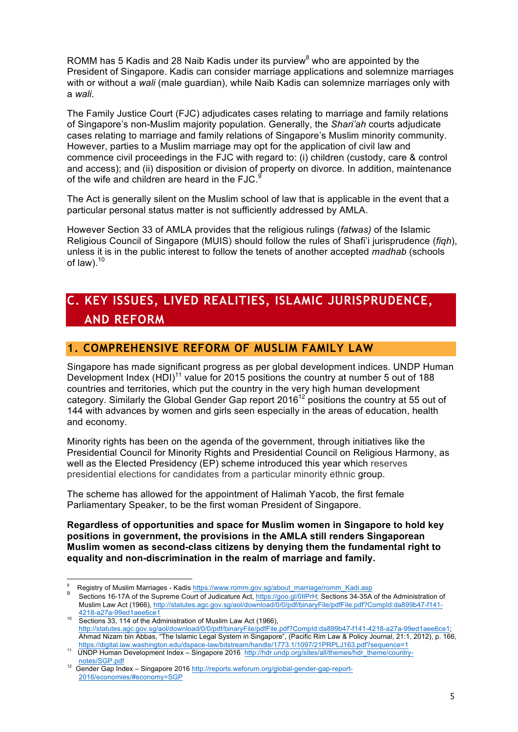ROMM has 5 Kadis and 28 Naib Kadis under its purview<sup>8</sup> who are appointed by the President of Singapore. Kadis can consider marriage applications and solemnize marriages with or without a *wali* (male guardian), while Naib Kadis can solemnize marriages only with a *wali*.

The Family Justice Court (FJC) adjudicates cases relating to marriage and family relations of Singapore's non-Muslim majority population. Generally, the *Shari'ah* courts adjudicate cases relating to marriage and family relations of Singapore's Muslim minority community. However, parties to a Muslim marriage may opt for the application of civil law and commence civil proceedings in the FJC with regard to: (i) children (custody, care & control and access); and (ii) disposition or division of property on divorce. In addition, maintenance of the wife and children are heard in the  $FJC$ .  $\overline{a}$ 

The Act is generally silent on the Muslim school of law that is applicable in the event that a particular personal status matter is not sufficiently addressed by AMLA.

However Section 33 of AMLA provides that the religious rulings (*fatwas)* of the Islamic Religious Council of Singapore (MUIS) should follow the rules of Shafi'i jurisprudence (*fiqh*), unless it is in the public interest to follow the tenets of another accepted *madhab* (schools of law). $10$ 

## **C. KEY ISSUES, LIVED REALITIES, ISLAMIC JURISPRUDENCE, AND REFORM**

### **1. COMPREHENSIVE REFORM OF MUSLIM FAMILY LAW**

Singapore has made significant progress as per global development indices. UNDP Human Development Index  $(HDI)^{11}$  value for 2015 positions the country at number 5 out of 188 countries and territories, which put the country in the very high human development category. Similarly the Global Gender Gap report 2016<sup>12</sup> positions the country at 55 out of 144 with advances by women and girls seen especially in the areas of education, health and economy.

Minority rights has been on the agenda of the government, through initiatives like the Presidential Council for Minority Rights and Presidential Council on Religious Harmony, as well as the Elected Presidency (EP) scheme introduced this year which reserves presidential elections for candidates from a particular minority ethnic group.

The scheme has allowed for the appointment of Halimah Yacob, the first female Parliamentary Speaker, to be the first woman President of Singapore.

**Regardless of opportunities and space for Muslim women in Singapore to hold key positions in government, the provisions in the AMLA still renders Singaporean Muslim women as second-class citizens by denying them the fundamental right to equality and non-discrimination in the realm of marriage and family.** 

 8

Registry of Muslim Marriages - Kadis https://www.romm.gov.sg/about\_marriage/romm\_Kadi.asp<br>Sections 16-17A of the Supreme Court of Judicature Act, https://goo.gl/0IIPrH; Sections 34-35A of the Administration of Muslim Law Act (1966), http://statutes.agc.gov.sg/aol/download/0/0/pdf/binaryFile/pdfFile.pdf?CompId:da899b47-f141-4218-a27a-99ed1aee6ce1

<sup>&</sup>lt;sup>10</sup> Sections 33, 114 of the Administration of Muslim Law Act (1966), http://statutes.agc.gov.sg/aol/download/0/0/pdf/binaryFile/pdfFile.pdf?CompId:da899b47-f141-4218-a27a-99ed1aee6ce1; Ahmad Nizam bin Abbas, "The Islamic Legal System in Singapore", (Pacific Rim Law & Policy Journal, 21:1, 2012), p. 166,<br>https://digital.law.washington.edu/dspace-law/bitstream/handle/1773.1/1097/21PRPLJ163.pdf?sequence=1

https://digital.com/digital.com/digital.html<br>https://hdr.undp.org/sites/all/themes/hdr\_theme/country-<br>notes/SGP.pdf

<sup>12</sup> Gender Gap Index – Singapore 2016 http://reports.weforum.org/global-gender-gap-report-2016/economies/#economy=SGP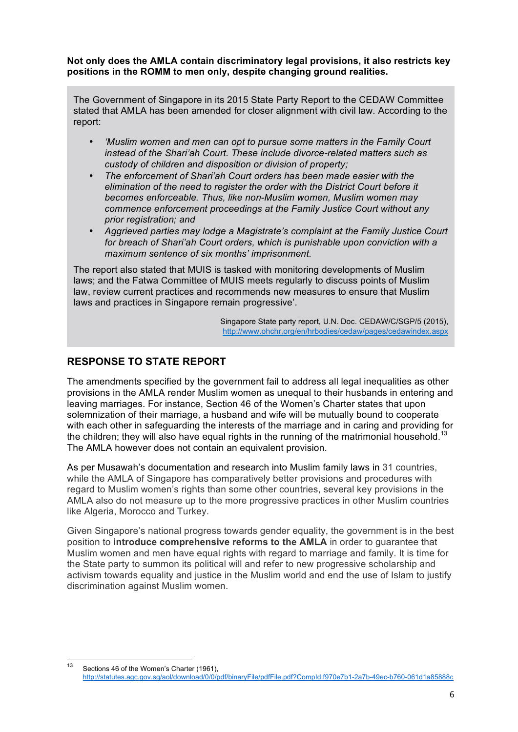**Not only does the AMLA contain discriminatory legal provisions, it also restricts key positions in the ROMM to men only, despite changing ground realities.** 

The Government of Singapore in its 2015 State Party Report to the CEDAW Committee stated that AMLA has been amended for closer alignment with civil law. According to the report:

- *'Muslim women and men can opt to pursue some matters in the Family Court instead of the Shari'ah Court. These include divorce-related matters such as custody of children and disposition or division of property;*
- *The enforcement of Shari'ah Court orders has been made easier with the elimination of the need to register the order with the District Court before it becomes enforceable. Thus, like non-Muslim women, Muslim women may commence enforcement proceedings at the Family Justice Court without any prior registration; and*
- *Aggrieved parties may lodge a Magistrate's complaint at the Family Justice Court for breach of Shari'ah Court orders, which is punishable upon conviction with a maximum sentence of six months' imprisonment.*

The report also stated that MUIS is tasked with monitoring developments of Muslim laws; and the Fatwa Committee of MUIS meets regularly to discuss points of Muslim law, review current practices and recommends new measures to ensure that Muslim laws and practices in Singapore remain progressive'.

> Singapore State party report, U.N. Doc. CEDAW/C/SGP/5 (2015), http://www.ohchr.org/en/hrbodies/cedaw/pages/cedawindex.aspx

#### **RESPONSE TO STATE REPORT**

The amendments specified by the government fail to address all legal inequalities as other provisions in the AMLA render Muslim women as unequal to their husbands in entering and leaving marriages. For instance, Section 46 of the Women's Charter states that upon solemnization of their marriage, a husband and wife will be mutually bound to cooperate with each other in safeguarding the interests of the marriage and in caring and providing for the children; they will also have equal rights in the running of the matrimonial household.<sup>13</sup> The AMLA however does not contain an equivalent provision.

As per Musawah's documentation and research into Muslim family laws in 31 countries, while the AMLA of Singapore has comparatively better provisions and procedures with regard to Muslim women's rights than some other countries, several key provisions in the AMLA also do not measure up to the more progressive practices in other Muslim countries like Algeria, Morocco and Turkey.

Given Singapore's national progress towards gender equality, the government is in the best position to **introduce comprehensive reforms to the AMLA** in order to guarantee that Muslim women and men have equal rights with regard to marriage and family. It is time for the State party to summon its political will and refer to new progressive scholarship and activism towards equality and justice in the Muslim world and end the use of Islam to justify discrimination against Muslim women.

<sup>&</sup>lt;sup>13</sup> Sections 46 of the Women's Charter (1961), http://statutes.agc.gov.sg/aol/download/0/0/pdf/binaryFile/pdfFile.pdf?CompId:f970e7b1-2a7b-49ec-b760-061d1a85888c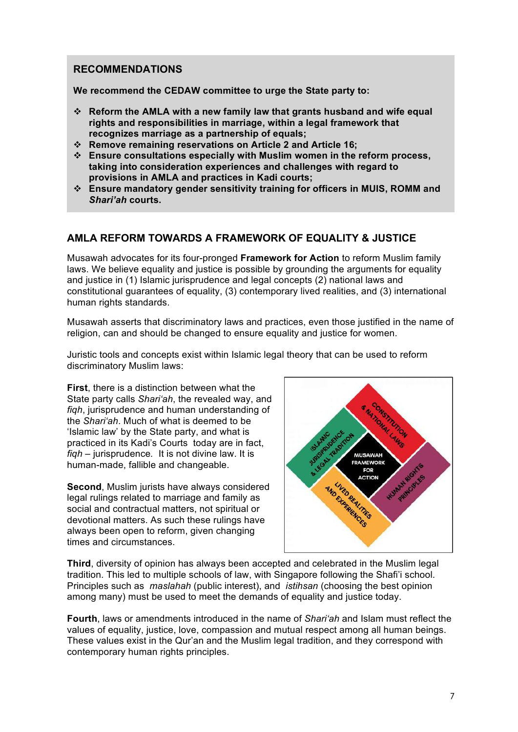#### **RECOMMENDATIONS**

**We recommend the CEDAW committee to urge the State party to:** 

- v **Reform the AMLA with a new family law that grants husband and wife equal rights and responsibilities in marriage, within a legal framework that recognizes marriage as a partnership of equals;**
- v **Remove remaining reservations on Article 2 and Article 16;**
- v **Ensure consultations especially with Muslim women in the reform process, taking into consideration experiences and challenges with regard to provisions in AMLA and practices in Kadi courts;**
- v **Ensure mandatory gender sensitivity training for officers in MUIS, ROMM and** *Shari'ah* **courts.**

#### **AMLA REFORM TOWARDS A FRAMEWORK OF EQUALITY & JUSTICE**

Musawah advocates for its four-pronged **Framework for Action** to reform Muslim family laws. We believe equality and justice is possible by grounding the arguments for equality and justice in (1) Islamic jurisprudence and legal concepts (2) national laws and constitutional guarantees of equality, (3) contemporary lived realities, and (3) international human rights standards.

Musawah asserts that discriminatory laws and practices, even those justified in the name of religion, can and should be changed to ensure equality and justice for women.

Juristic tools and concepts exist within Islamic legal theory that can be used to reform discriminatory Muslim laws:

**First**, there is a distinction between what the State party calls *Shari'ah*, the revealed way, and *fiqh*, jurisprudence and human understanding of the *Shari'ah*. Much of what is deemed to be 'Islamic law' by the State party, and what is practiced in its Kadi's Courts today are in fact, *fiqh –* jurisprudence*.* It is not divine law. It is human-made, fallible and changeable.

**Second**, Muslim jurists have always considered legal rulings related to marriage and family as social and contractual matters, not spiritual or devotional matters. As such these rulings have always been open to reform, given changing times and circumstances.



**Third**, diversity of opinion has always been accepted and celebrated in the Muslim legal tradition. This led to multiple schools of law, with Singapore following the Shafi'i school. Principles such as *maslahah* (public interest), and *istihsan* (choosing the best opinion among many) must be used to meet the demands of equality and justice today.

**Fourth**, laws or amendments introduced in the name of *Shari'ah* and Islam must reflect the values of equality, justice, love, compassion and mutual respect among all human beings. These values exist in the Qur'an and the Muslim legal tradition, and they correspond with contemporary human rights principles.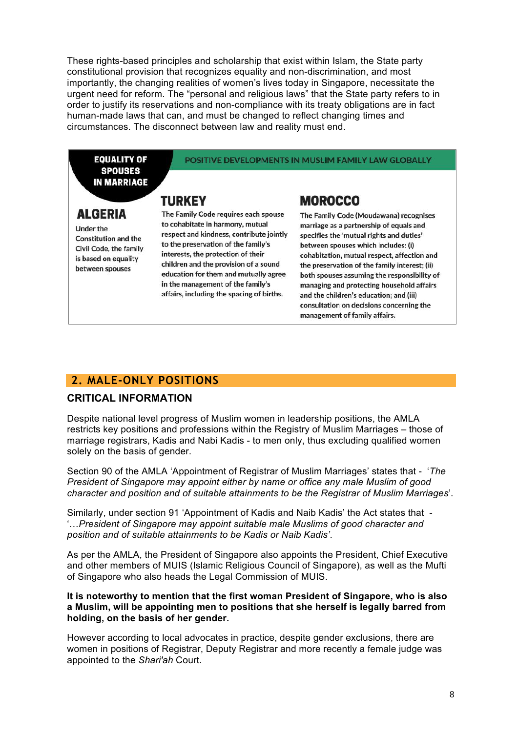These rights-based principles and scholarship that exist within Islam, the State party constitutional provision that recognizes equality and non-discrimination, and most importantly, the changing realities of women's lives today in Singapore, necessitate the urgent need for reform. The "personal and religious laws" that the State party refers to in order to justify its reservations and non-compliance with its treaty obligations are in fact human-made laws that can, and must be changed to reflect changing times and circumstances. The disconnect between law and reality must end.

#### **EQUALITY OF SPOUSES IN MARRIAGE**

#### POSITIVE DEVELOPMENTS IN MUSLIM FAMILY LAW GLOBALLY

## **TURKEY**

**ALGERIA** 

**Under the Constitution and the** Civil Code, the family is based on equality between spouses

The Family Code requires each spouse to cohabitate in harmony, mutual respect and kindness, contribute jointly to the preservation of the family's interests, the protection of their children and the provision of a sound education for them and mutually agree in the management of the family's affairs, including the spacing of births.

## **MOROCCO**

The Family Code (Moudawana) recognises marriage as a partnership of equals and specifies the 'mutual rights and duties' between spouses which includes: (i) cohabitation, mutual respect, affection and the preservation of the family interest; (ii) both spouses assuming the responsibility of managing and protecting household affairs and the children's education; and (iii) consultation on decisions concerning the management of family affairs.

## **2. MALE-ONLY POSITIONS**

#### **CRITICAL INFORMATION**

Despite national level progress of Muslim women in leadership positions, the AMLA restricts key positions and professions within the Registry of Muslim Marriages – those of marriage registrars, Kadis and Nabi Kadis - to men only, thus excluding qualified women solely on the basis of gender.

Section 90 of the AMLA 'Appointment of Registrar of Muslim Marriages' states that - '*The President of Singapore may appoint either by name or office any male Muslim of good character and position and of suitable attainments to be the Registrar of Muslim Marriages*'.

Similarly, under section 91 'Appointment of Kadis and Naib Kadis' the Act states that - '…*President of Singapore may appoint suitable male Muslims of good character and position and of suitable attainments to be Kadis or Naib Kadis'*.

As per the AMLA, the President of Singapore also appoints the President, Chief Executive and other members of MUIS (Islamic Religious Council of Singapore), as well as the Mufti of Singapore who also heads the Legal Commission of MUIS.

#### **It is noteworthy to mention that the first woman President of Singapore, who is also a Muslim, will be appointing men to positions that she herself is legally barred from holding, on the basis of her gender.**

However according to local advocates in practice, despite gender exclusions, there are women in positions of Registrar, Deputy Registrar and more recently a female judge was appointed to the *Shari'ah* Court.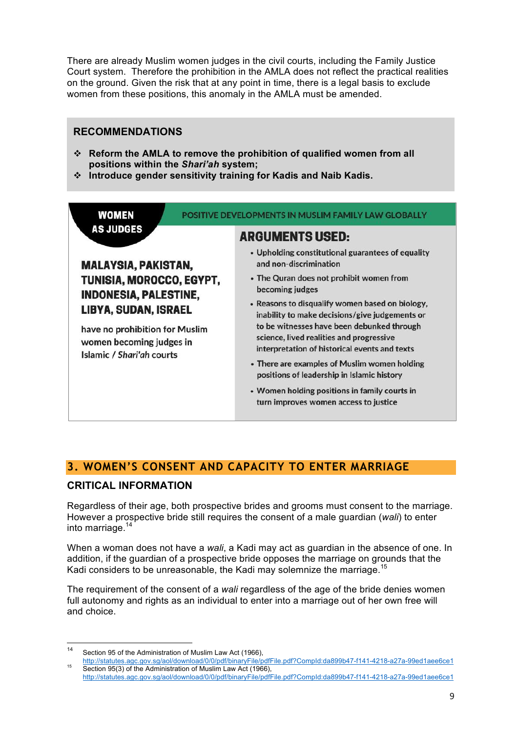There are already Muslim women judges in the civil courts, including the Family Justice Court system. Therefore the prohibition in the AMLA does not reflect the practical realities on the ground. Given the risk that at any point in time, there is a legal basis to exclude women from these positions, this anomaly in the AMLA must be amended.

#### **RECOMMENDATIONS**

- v **Reform the AMLA to remove the prohibition of qualified women from all positions within the** *Shari'ah* **system;**
- v **Introduce gender sensitivity training for Kadis and Naib Kadis.**

| <b>AS JUDGES</b>                                                                                                       | <b>ARGUMENTS USED:</b>                                                                                                                                                                                                                       |
|------------------------------------------------------------------------------------------------------------------------|----------------------------------------------------------------------------------------------------------------------------------------------------------------------------------------------------------------------------------------------|
| <b>MALAYSIA, PAKISTAN,</b>                                                                                             | • Upholding constitutional guarantees of equality<br>and non-discrimination                                                                                                                                                                  |
| TUNISIA, MOROCCO, EGYPT,<br><b>INDONESIA, PALESTINE,</b>                                                               | • The Quran does not prohibit women from<br>becoming judges                                                                                                                                                                                  |
| <b>LIBYA, SUDAN, ISRAEL</b><br>have no prohibition for Muslim<br>women becoming judges in<br>Islamic / Shari'ah courts | • Reasons to disqualify women based on biology,<br>inability to make decisions/give judgements or<br>to be witnesses have been debunked through<br>science, lived realities and progressive<br>interpretation of historical events and texts |
|                                                                                                                        | • There are examples of Muslim women holding<br>positions of leadership in Islamic history                                                                                                                                                   |
|                                                                                                                        | • Women holding positions in family courts in<br>turn improves women access to justice                                                                                                                                                       |

## **3. WOMEN'S CONSENT AND CAPACITY TO ENTER MARRIAGE**

#### **CRITICAL INFORMATION**

Regardless of their age, both prospective brides and grooms must consent to the marriage. However a prospective bride still requires the consent of a male guardian (*wali*) to enter into marriage.14

When a woman does not have a *wali*, a Kadi may act as guardian in the absence of one. In addition, if the guardian of a prospective bride opposes the marriage on grounds that the Kadi considers to be unreasonable, the Kadi may solemnize the marriage.<sup>15</sup>

The requirement of the consent of a *wali* regardless of the age of the bride denies women full autonomy and rights as an individual to enter into a marriage out of her own free will and choice.

 <sup>14</sup> Section 95 of the Administration of Muslim Law Act (1966),

http://statutes.agc.gov.sg/aol/download/0/0/pdf/binaryFile/pdfFile.pdf?CompId:da899b47-f141-4218-a27a-99ed1aee6ce1<br>Section 95(3) of the Administration of Muslim Law Act (1966), http://statutes.agc.gov.sg/aol/download/0/0/pdf/binaryFile/pdfFile.pdf?CompId:da899b47-f141-4218-a27a-99ed1aee6ce1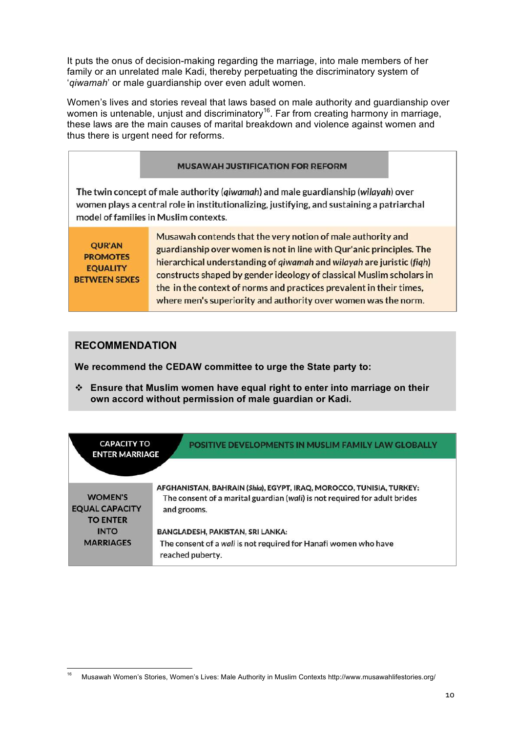It puts the onus of decision-making regarding the marriage, into male members of her family or an unrelated male Kadi, thereby perpetuating the discriminatory system of '*qiwamah*' or male guardianship over even adult women.

Women's lives and stories reveal that laws based on male authority and guardianship over women is untenable, unjust and discriminatory<sup>16</sup>. Far from creating harmony in marriage, these laws are the main causes of marital breakdown and violence against women and thus there is urgent need for reforms.

**MUSAWAH JUSTIFICATION FOR REFORM** 

The twin concept of male authority (giwamah) and male guardianship (wilayah) over women plays a central role in institutionalizing, justifying, and sustaining a patriarchal model of families in Muslim contexts.

**OUR'AN PROMOTES EOUALITY BETWEEN SEXES** 

Musawah contends that the very notion of male authority and guardianship over women is not in line with Qur'anic principles. The hierarchical understanding of giwamah and wilayah are juristic (figh) constructs shaped by gender ideology of classical Muslim scholars in the in the context of norms and practices prevalent in their times, where men's superiority and authority over women was the norm.

#### **RECOMMENDATION**

<u> 1989 - Jan Samuel Barbara, margaret e</u>

**We recommend the CEDAW committee to urge the State party to:** 

v **Ensure that Muslim women have equal right to enter into marriage on their own accord without permission of male guardian or Kadi.** 

| <b>CAPACITY TO</b><br>POSITIVE DEVELOPMENTS IN MUSLIM FAMILY LAW GLOBALLY<br><b>ENTER MARRIAGE</b> |                                                                                                                                                                 |  |
|----------------------------------------------------------------------------------------------------|-----------------------------------------------------------------------------------------------------------------------------------------------------------------|--|
|                                                                                                    |                                                                                                                                                                 |  |
| <b>WOMEN'S</b><br><b>EQUAL CAPACITY</b><br><b>TO ENTER</b>                                         | AFGHANISTAN, BAHRAIN (Shia), EGYPT, IRAQ, MOROCCO, TUNISIA, TURKEY:<br>The consent of a marital guardian (wali) is not required for adult brides<br>and grooms. |  |
| <b>INTO</b><br><b>MARRIAGES</b>                                                                    | BANGLADESH, PAKISTAN, SRI LANKA:<br>The consent of a wali is not required for Hanafi women who have<br>reached puberty.                                         |  |

<sup>16</sup> Musawah Women's Stories, Women's Lives: Male Authority in Muslim Contexts http://www.musawahlifestories.org/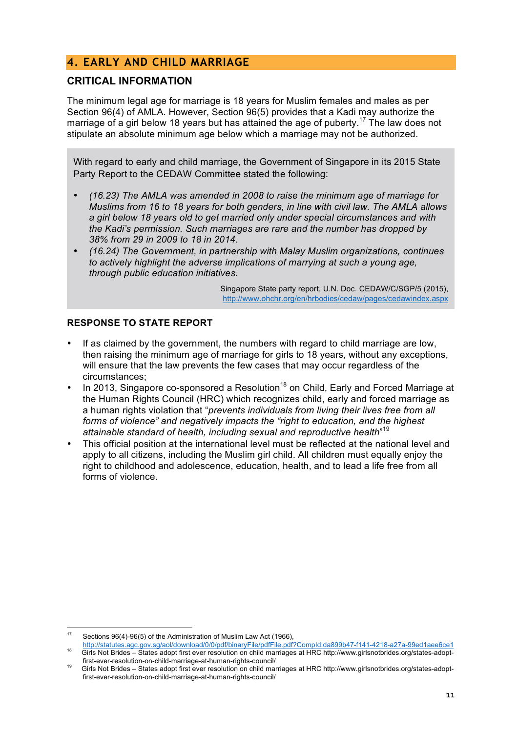### **4. EARLY AND CHILD MARRIAGE**

#### **CRITICAL INFORMATION**

The minimum legal age for marriage is 18 years for Muslim females and males as per Section 96(4) of AMLA. However, Section 96(5) provides that a Kadi may authorize the marriage of a girl below 18 years but has attained the age of puberty.<sup>17</sup> The law does not stipulate an absolute minimum age below which a marriage may not be authorized.

With regard to early and child marriage, the Government of Singapore in its 2015 State Party Report to the CEDAW Committee stated the following:

- *(16.23) The AMLA was amended in 2008 to raise the minimum age of marriage for Muslims from 16 to 18 years for both genders, in line with civil law. The AMLA allows a girl below 18 years old to get married only under special circumstances and with the Kadi's permission. Such marriages are rare and the number has dropped by 38% from 29 in 2009 to 18 in 2014.*
- *(16.24) The Government, in partnership with Malay Muslim organizations, continues to actively highlight the adverse implications of marrying at such a young age, through public education initiatives.*

Singapore State party report, U.N. Doc. CEDAW/C/SGP/5 (2015), http://www.ohchr.org/en/hrbodies/cedaw/pages/cedawindex.aspx

#### **RESPONSE TO STATE REPORT**

- If as claimed by the government, the numbers with regard to child marriage are low, then raising the minimum age of marriage for girls to 18 years, without any exceptions, will ensure that the law prevents the few cases that may occur regardless of the circumstances;
- In 2013, Singapore co-sponsored a Resolution<sup>18</sup> on Child, Early and Forced Marriage at the Human Rights Council (HRC) which recognizes child, early and forced marriage as a human rights violation that "*prevents individuals from living their lives free from all forms of violence" and negatively impacts the "right to education, and the highest attainable standard of health, including sexual and reproductive health*" 19
- This official position at the international level must be reflected at the national level and apply to all citizens, including the Muslim girl child. All children must equally enjoy the right to childhood and adolescence, education, health, and to lead a life free from all forms of violence.

<sup>&</sup>lt;u> 1989 - Jan Samuel Barbara, margaret e</u>

<sup>17</sup> Sections 96(4)-96(5) of the Administration of Muslim Law Act (1966),<br>http://statutes.agc.gov.sg/aol/download/0/0/pdf/binaryFile/pdfFile.pdf?Compld:da899b47-f141-4218-a27a-99ed1aee6ce1 18<br>Girls Not Brides – States adopt first ever resolution on child marriages at HRC http://www.girlsnotbrides.org/states-adopt-<br>first-ever-resolution-on-child-marriage-at-human-rights-council/

Girls Not Brides - States adopt first ever resolution on child marriages at HRC http://www.girlsnotbrides.org/states-adoptfirst-ever-resolution-on-child-marriage-at-human-rights-council/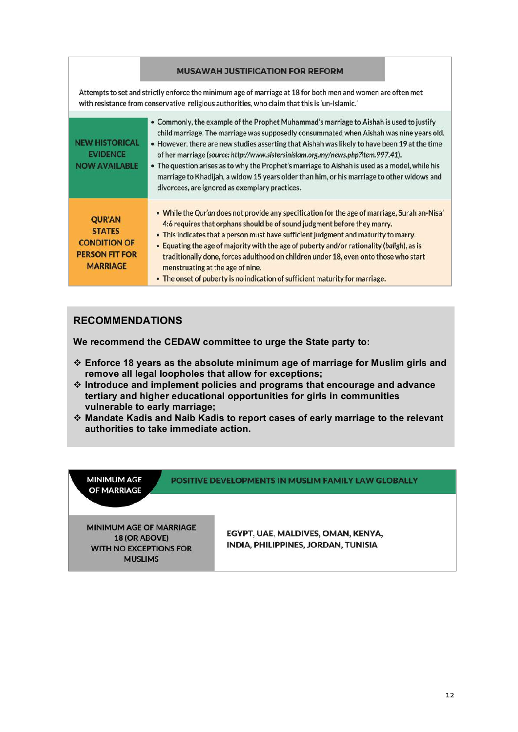#### **MUSAWAH JUSTIFICATION FOR REFORM**

Attempts to set and strictly enforce the minimum age of marriage at 18 for both men and women are often met with resistance from conservative religious authorities, who claim that this is 'un-Islamic.'

| <b>NEW HISTORICAL</b><br><b>EVIDENCE</b><br><b>NOW AVAILABLE</b>                                  | • Commonly, the example of the Prophet Muhammad's marriage to Aishah is used to justify<br>child marriage. The marriage was supposedly consummated when Aishah was nine years old.<br>. However, there are new studies asserting that Aishah was likely to have been 19 at the time<br>of her marriage (source: http://www.sistersinislam.org.my/news.php?item.997.41).<br>. The question arises as to why the Prophet's marriage to Aishah is used as a model, while his<br>marriage to Khadijah, a widow 15 years older than him, or his marriage to other widows and<br>divorcees, are ignored as exemplary practices. |
|---------------------------------------------------------------------------------------------------|---------------------------------------------------------------------------------------------------------------------------------------------------------------------------------------------------------------------------------------------------------------------------------------------------------------------------------------------------------------------------------------------------------------------------------------------------------------------------------------------------------------------------------------------------------------------------------------------------------------------------|
| <b>QUR'AN</b><br><b>STATES</b><br><b>CONDITION OF</b><br><b>PERSON FIT FOR</b><br><b>MARRIAGE</b> | . While the Qur'an does not provide any specification for the age of marriage, Surah an-Nisa'<br>4:6 requires that orphans should be of sound judgment before they marry.<br>• This indicates that a person must have sufficient judgment and maturity to marry.<br>• Equating the age of majority with the age of puberty and/or rationality (baligh), as is<br>traditionally done, forces adulthood on children under 18, even onto those who start<br>menstruating at the age of nine.<br>• The onset of puberty is no indication of sufficient maturity for marriage.                                                 |

## **RECOMMENDATIONS**

**We recommend the CEDAW committee to urge the State party to:** 

- v **Enforce 18 years as the absolute minimum age of marriage for Muslim girls and remove all legal loopholes that allow for exceptions;**
- v **Introduce and implement policies and programs that encourage and advance tertiary and higher educational opportunities for girls in communities vulnerable to early marriage;**
- v **Mandate Kadis and Naib Kadis to report cases of early marriage to the relevant authorities to take immediate action.**

**MINIMUM AGE** OF MARRIAGE POSITIVE DEVELOPMENTS IN MUSLIM FAMILY LAW GLOBALLY

**MINIMUM AGE OF MARRIAGE 18 (OR ABOVE) WITH NO EXCEPTIONS FOR MUSLIMS** 

EGYPT, UAE, MALDIVES, OMAN, KENYA, INDIA, PHILIPPINES, JORDAN, TUNISIA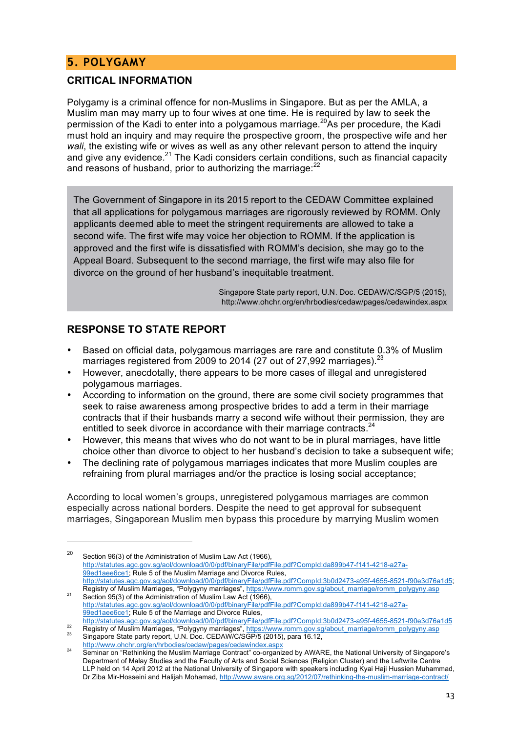## **5. POLYGAMY**

#### **CRITICAL INFORMATION**

Polygamy is a criminal offence for non-Muslims in Singapore. But as per the AMLA, a Muslim man may marry up to four wives at one time. He is required by law to seek the permission of the Kadi to enter into a polygamous marriage.<sup>20</sup>As per procedure, the Kadi must hold an inquiry and may require the prospective groom, the prospective wife and her *wali*, the existing wife or wives as well as any other relevant person to attend the inquiry and give any evidence. $^{21}$  The Kadi considers certain conditions, such as financial capacity and reasons of husband, prior to authorizing the marriage: $^{22}$ 

The Government of Singapore in its 2015 report to the CEDAW Committee explained that all applications for polygamous marriages are rigorously reviewed by ROMM. Only applicants deemed able to meet the stringent requirements are allowed to take a second wife. The first wife may voice her objection to ROMM. If the application is approved and the first wife is dissatisfied with ROMM's decision, she may go to the Appeal Board. Subsequent to the second marriage, the first wife may also file for divorce on the ground of her husband's inequitable treatment.

> Singapore State party report, U.N. Doc. CEDAW/C/SGP/5 (2015), http://www.ohchr.org/en/hrbodies/cedaw/pages/cedawindex.aspx

#### **RESPONSE TO STATE REPORT**

<u> 1989 - Johann Barn, mars ann an t-Amhain an t-Amhain an t-Amhain an t-Amhain an t-Amhain an t-Amhain an t-Amh</u>

- Based on official data, polygamous marriages are rare and constitute 0.3% of Muslim marriages registered from 2009 to 2014 (27 out of 27,992 marriages).<sup>23</sup>
- However, anecdotally, there appears to be more cases of illegal and unregistered polygamous marriages.
- According to information on the ground, there are some civil society programmes that seek to raise awareness among prospective brides to add a term in their marriage contracts that if their husbands marry a second wife without their permission, they are entitled to seek divorce in accordance with their marriage contracts.<sup>24</sup>
- However, this means that wives who do not want to be in plural marriages, have little choice other than divorce to object to her husband's decision to take a subsequent wife;
- The declining rate of polygamous marriages indicates that more Muslim couples are refraining from plural marriages and/or the practice is losing social acceptance;

According to local women's groups, unregistered polygamous marriages are common especially across national borders. Despite the need to get approval for subsequent marriages, Singaporean Muslim men bypass this procedure by marrying Muslim women

<sup>&</sup>lt;sup>20</sup> Section 96(3) of the Administration of Muslim Law Act (1966), http://statutes.agc.gov.sg/aol/download/0/0/pdf/binaryFile/pdfFile.pdf?CompId:da899b47-f141-4218-a27a-99ed1aee6ce1; Rule 5 of the Muslim Marriage and Divorce Rules, http://statutes.agc.gov.sg/aol/download/0/0/pdf/binaryFile/pdfFile.pdf?CompId:3b0d2473-a95f-4655-8521-f90e3d76a1d5;

Registry of Muslim Marriages, "Polygyny marriages", https://www.romm.gov.sg/about\_marriage/romm\_polygyny.asp 31 Section 95(3) of the Administration of Muslim Law Act (1966), http://statutes.agc.gov.sg/aol/download/0/0/pdf/binaryFile/pdfFile.pdf?CompId:da899b47-f141-4218-a27a-99ed1aee6ce1; Rule 5 of the Marriage and Divorce Rules,

http://statutes.agc.gov.sg/aol/download/0/0/pdf/binaryFile/pdfFile.pdf?Compld:3b0d2473-a95f-4655-8521-f90e3d76a1d5<br>Registry of Muslim Marriages, "Polygyny marriages", https://www.romm.gov.sg/about\_marriage/romm\_polygyny.as

<sup>&</sup>lt;sup>24</sup> Seminar on "Rethinking the Muslim Marriage Contract" co-organized by AWARE, the National University of Singapore's Department of Malay Studies and the Faculty of Arts and Social Sciences (Religion Cluster) and the Leftwrite Centre LLP held on 14 April 2012 at the National University of Singapore with speakers including Kyai Haji Hussien Muhammad, Dr Ziba Mir-Hosseini and Halijah Mohamad, http://www.aware.org.sg/2012/07/rethinking-the-muslim-marriage-contract/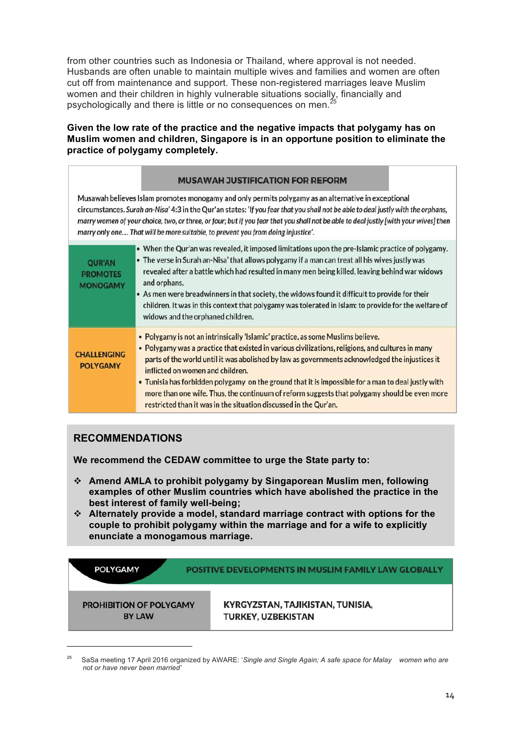from other countries such as Indonesia or Thailand, where approval is not needed. Husbands are often unable to maintain multiple wives and families and women are often cut off from maintenance and support. These non-registered marriages leave Muslim women and their children in highly vulnerable situations socially, financially and psychologically and there is little or no consequences on men.<sup>2</sup>

**Given the low rate of the practice and the negative impacts that polygamy has on Muslim women and children, Singapore is in an opportune position to eliminate the practice of polygamy completely.**

|                                                     | <b>MUSAWAH JUSTIFICATION FOR REFORM</b>                                                                                                                                                                                                                                                                                                                                                                                                                                                                                                                                                             |
|-----------------------------------------------------|-----------------------------------------------------------------------------------------------------------------------------------------------------------------------------------------------------------------------------------------------------------------------------------------------------------------------------------------------------------------------------------------------------------------------------------------------------------------------------------------------------------------------------------------------------------------------------------------------------|
|                                                     | Musawah believes Islam promotes monogamy and only permits polygamy as an alternative in exceptional<br>circumstances. Surah an-Nisa' 4:3 in the Qur'an states: 'If you fear that you shall not be able to deal justly with the orphans,<br>marry women of your choice, two, or three, or four; but if you fear that you shall not be able to deal justly [with your wives] then<br>marry only one That will be more suitable, to prevent you from doing injustice'.                                                                                                                                 |
| <b>QUR'AN</b><br><b>PROMOTES</b><br><b>MONOGAMY</b> | . When the Qur'an was revealed, it imposed limitations upon the pre-Islamic practice of polygamy.<br>• The verse in Surah an-Nisa' that allows polygamy if a man can treat all his wives justly was<br>revealed after a battle which had resulted in many men being killed, leaving behind war widows<br>and orphans.<br>. As men were breadwinners in that society, the widows found it difficult to provide for their<br>children. It was in this context that polygamy was tolerated in Islam: to provide for the welfare of<br>widows and the orphaned children.                                |
| <b>CHALLENGING</b><br><b>POLYGAMY</b>               | . Polygamy is not an intrinsically 'Islamic' practice, as some Muslims believe.<br>. Polygamy was a practice that existed in various civilizations, religions, and cultures in many<br>parts of the world until it was abolished by law as governments acknowledged the injustices it<br>inflicted on women and children.<br>. Tunisia has forbidden polygamy on the ground that it is impossible for a man to deal justly with<br>more than one wife. Thus, the continuum of reform suggests that polygamy should be even more<br>restricted than it was in the situation discussed in the Qur'an. |

### **RECOMMENDATIONS**

<u> 1989 - Jan Samuel Barbara, margaret e</u>

**We recommend the CEDAW committee to urge the State party to:** 

- v **Amend AMLA to prohibit polygamy by Singaporean Muslim men, following examples of other Muslim countries which have abolished the practice in the best interest of family well-being;**
- v **Alternately provide a model, standard marriage contract with options for the couple to prohibit polygamy within the marriage and for a wife to explicitly enunciate a monogamous marriage.**



<sup>25</sup> SaSa meeting 17 April 2016 organized by AWARE: '*Single and Single Again; A safe space for Malay women who are not or have never been married'*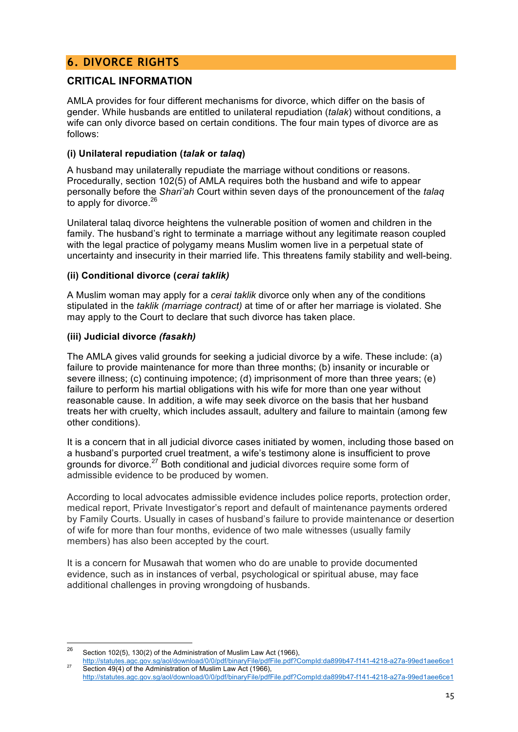## **6. DIVORCE RIGHTS**

#### **CRITICAL INFORMATION**

AMLA provides for four different mechanisms for divorce, which differ on the basis of gender. While husbands are entitled to unilateral repudiation (*talak*) without conditions, a wife can only divorce based on certain conditions. The four main types of divorce are as follows:

#### **(i) Unilateral repudiation (***talak* **or** *talaq***)**

A husband may unilaterally repudiate the marriage without conditions or reasons. Procedurally, section 102(5) of AMLA requires both the husband and wife to appear personally before the *Shari'ah* Court within seven days of the pronouncement of the *talaq*  to apply for divorce.<sup>26</sup>

Unilateral talaq divorce heightens the vulnerable position of women and children in the family. The husband's right to terminate a marriage without any legitimate reason coupled with the legal practice of polygamy means Muslim women live in a perpetual state of uncertainty and insecurity in their married life. This threatens family stability and well-being.

#### **(ii) Conditional divorce (***cerai taklik)*

A Muslim woman may apply for a *cerai taklik* divorce only when any of the conditions stipulated in the *taklik (marriage contract)* at time of or after her marriage is violated. She may apply to the Court to declare that such divorce has taken place.

#### **(iii) Judicial divorce** *(fasakh)*

The AMLA gives valid grounds for seeking a judicial divorce by a wife. These include: (a) failure to provide maintenance for more than three months; (b) insanity or incurable or severe illness; (c) continuing impotence; (d) imprisonment of more than three years; (e) failure to perform his martial obligations with his wife for more than one year without reasonable cause. In addition, a wife may seek divorce on the basis that her husband treats her with cruelty, which includes assault, adultery and failure to maintain (among few other conditions).

It is a concern that in all judicial divorce cases initiated by women, including those based on a husband's purported cruel treatment, a wife's testimony alone is insufficient to prove grounds for divorce.<sup>27</sup> Both conditional and judicial divorces require some form of admissible evidence to be produced by women.

According to local advocates admissible evidence includes police reports, protection order, medical report, Private Investigator's report and default of maintenance payments ordered by Family Courts. Usually in cases of husband's failure to provide maintenance or desertion of wife for more than four months, evidence of two male witnesses (usually family members) has also been accepted by the court.

It is a concern for Musawah that women who do are unable to provide documented evidence, such as in instances of verbal, psychological or spiritual abuse, may face additional challenges in proving wrongdoing of husbands.

<sup>&</sup>lt;sup>26</sup> Section 102(5), 130(2) of the Administration of Muslim Law Act (1966),

http://statutes.agc.gov.sg/aol/download/0/0/pdf/binaryFile/pdfFile.pdf?CompId:da899b47-f141-4218-a27a-99ed1aee6ce1<br>Section 49(4) of the Administration of Muslim Law Act (1966), http://statutes.agc.gov.sg/aol/download/0/0/pdf/binaryFile/pdfFile.pdf?CompId:da899b47-f141-4218-a27a-99ed1aee6ce1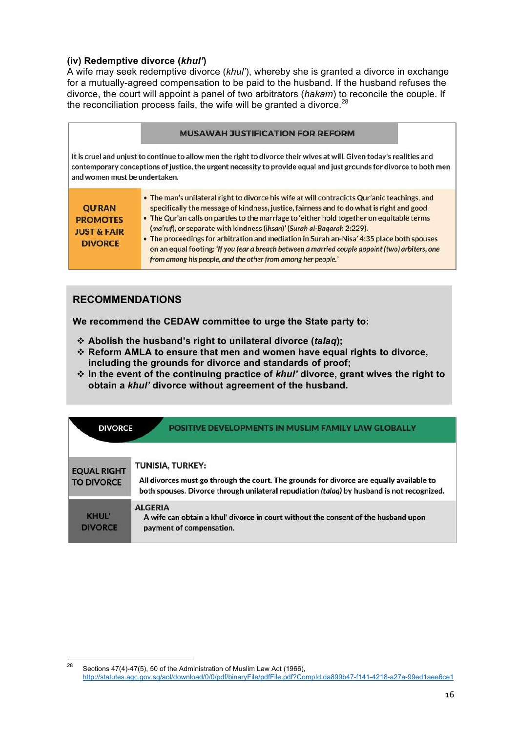#### **(iv) Redemptive divorce (***khul'***)**

A wife may seek redemptive divorce (*khul'*), whereby she is granted a divorce in exchange for a mutually-agreed compensation to be paid to the husband. If the husband refuses the divorce, the court will appoint a panel of two arbitrators (*hakam*) to reconcile the couple. If the reconciliation process fails, the wife will be granted a divorce.<sup>28</sup>

#### **MUSAWAH JUSTIFICATION FOR REFORM**

It is cruel and unjust to continue to allow men the right to divorce their wives at will. Given today's realities and contemporary conceptions of justice, the urgent necessity to provide equal and just grounds for divorce to both men and women must be undertaken.

| <b>QU'RAN</b><br><b>PROMOTES</b><br><b>JUST &amp; FAIR</b><br><b>DIVORCE</b> | • The man's unilateral right to divorce his wife at will contradicts Qur'anic teachings, and<br>specifically the message of kindness, justice, fairness and to do what is right and good.<br>. The Qur'an calls on parties to the marriage to 'either hold together on equitable terms<br>(ma'ruf), or separate with kindness (ihsan)' (Surah al-Baqarah 2:229).<br>. The proceedings for arbitration and mediation in Surah an-Nisa' 4:35 place both spouses<br>on an equal footing: 'If you fear a breach between a married couple appoint (two) arbiters, one<br>from among his people, and the other from among her people.' |
|------------------------------------------------------------------------------|----------------------------------------------------------------------------------------------------------------------------------------------------------------------------------------------------------------------------------------------------------------------------------------------------------------------------------------------------------------------------------------------------------------------------------------------------------------------------------------------------------------------------------------------------------------------------------------------------------------------------------|
|------------------------------------------------------------------------------|----------------------------------------------------------------------------------------------------------------------------------------------------------------------------------------------------------------------------------------------------------------------------------------------------------------------------------------------------------------------------------------------------------------------------------------------------------------------------------------------------------------------------------------------------------------------------------------------------------------------------------|

#### **RECOMMENDATIONS**

**We recommend the CEDAW committee to urge the State party to:** 

- v **Abolish the husband's right to unilateral divorce (***talaq***);**
- v **Reform AMLA to ensure that men and women have equal rights to divorce, including the grounds for divorce and standards of proof;**
- v **In the event of the continuing practice of** *khul'* **divorce, grant wives the right to obtain a** *khul'* **divorce without agreement of the husband.**

| POSITIVE DEVELOPMENTS IN MUSLIM FAMILY LAW GLOBALLY<br><b>DIVORCE</b> |                                                                                                                                                                                                                   |  |
|-----------------------------------------------------------------------|-------------------------------------------------------------------------------------------------------------------------------------------------------------------------------------------------------------------|--|
| <b>EQUAL RIGHT</b><br><b>TO DIVORCE</b>                               | <b>TUNISIA, TURKEY:</b><br>All divorces must go through the court. The grounds for divorce are equally available to<br>both spouses. Divorce through unilateral repudiation (talaq) by husband is not recognized. |  |
| <b>KHUL'</b><br><b>DIVORCE</b>                                        | <b>ALGERIA</b><br>A wife can obtain a khul' divorce in court without the consent of the husband upon<br>payment of compensation.                                                                                  |  |

<sup>&</sup>lt;sup>28</sup> Sections 47(4)-47(5), 50 of the Administration of Muslim Law Act (1966), http://statutes.agc.gov.sg/aol/download/0/0/pdf/binaryFile/pdfFile.pdf?CompId:da899b47-f141-4218-a27a-99ed1aee6ce1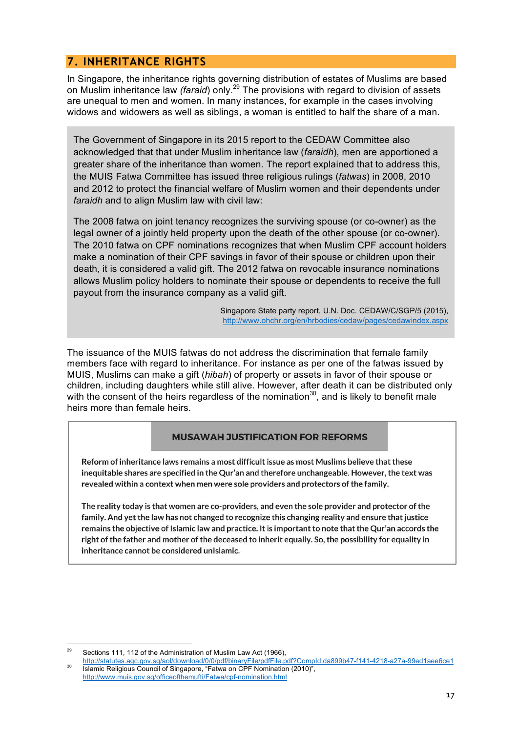## **7. INHERITANCE RIGHTS**

In Singapore, the inheritance rights governing distribution of estates of Muslims are based on Muslim inheritance law *(faraid*) only. <sup>29</sup> The provisions with regard to division of assets are unequal to men and women. In many instances, for example in the cases involving widows and widowers as well as siblings, a woman is entitled to half the share of a man.

The Government of Singapore in its 2015 report to the CEDAW Committee also acknowledged that that under Muslim inheritance law (*faraidh*), men are apportioned a greater share of the inheritance than women. The report explained that to address this, the MUIS Fatwa Committee has issued three religious rulings (*fatwas*) in 2008, 2010 and 2012 to protect the financial welfare of Muslim women and their dependents under *faraidh* and to align Muslim law with civil law:

The 2008 fatwa on joint tenancy recognizes the surviving spouse (or co-owner) as the legal owner of a jointly held property upon the death of the other spouse (or co-owner). The 2010 fatwa on CPF nominations recognizes that when Muslim CPF account holders make a nomination of their CPF savings in favor of their spouse or children upon their death, it is considered a valid gift. The 2012 fatwa on revocable insurance nominations allows Muslim policy holders to nominate their spouse or dependents to receive the full payout from the insurance company as a valid gift.

> Singapore State party report, U.N. Doc. CEDAW/C/SGP/5 (2015), http://www.ohchr.org/en/hrbodies/cedaw/pages/cedawindex.aspx

The issuance of the MUIS fatwas do not address the discrimination that female family members face with regard to inheritance. For instance as per one of the fatwas issued by MUIS, Muslims can make a gift (*hibah*) of property or assets in favor of their spouse or children, including daughters while still alive. However, after death it can be distributed only with the consent of the heirs regardless of the nomination<sup>30</sup>, and is likely to benefit male heirs more than female heirs.

#### **MUSAWAH JUSTIFICATION FOR REFORMS**

Reform of inheritance laws remains a most difficult issue as most Muslims believe that these inequitable shares are specified in the Qur'an and therefore unchangeable. However, the text was revealed within a context when men were sole providers and protectors of the family.

The reality today is that women are co-providers, and even the sole provider and protector of the family. And yet the law has not changed to recognize this changing reality and ensure that justice remains the objective of Islamic law and practice. It is important to note that the Qur'an accords the right of the father and mother of the deceased to inherit equally. So, the possibility for equality in inheritance cannot be considered unIslamic.

 <sup>29</sup> Sections 111, 112 of the Administration of Muslim Law Act (1966),

http://statutes.agc.gov.sg/aol/download/0/0/pdf/binaryFile/pdfFile.pdf?CompId:da899b47-f141-4218-a27a-99ed1aee6ce1<br>Islamic Religious Council of Singapore, "Fatwa on CPF Nomination (2010)", http://www.muis.gov.sg/officeofthemufti/Fatwa/cpf-nomination.html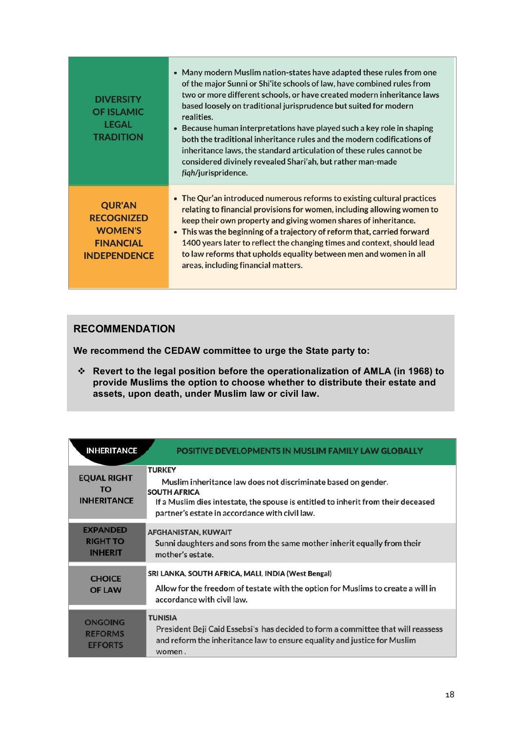| <b>DIVERSITY</b><br><b>OF ISLAMIC</b><br><b>LEGAL</b><br><b>TRADITION</b>                       | • Many modern Muslim nation-states have adapted these rules from one<br>of the major Sunni or Shi'ite schools of law, have combined rules from<br>two or more different schools, or have created modern inheritance laws<br>based loosely on traditional jurisprudence but suited for modern<br>realities.<br>Because human interpretations have played such a key role in shaping<br>$\bullet$<br>both the traditional inheritance rules and the modern codifications of<br>inheritance laws, the standard articulation of these rules cannot be<br>considered divinely revealed Shari'ah, but rather man-made<br>fiqh/jurispridence. |
|-------------------------------------------------------------------------------------------------|----------------------------------------------------------------------------------------------------------------------------------------------------------------------------------------------------------------------------------------------------------------------------------------------------------------------------------------------------------------------------------------------------------------------------------------------------------------------------------------------------------------------------------------------------------------------------------------------------------------------------------------|
| <b>QUR'AN</b><br><b>RECOGNIZED</b><br><b>WOMEN'S</b><br><b>FINANCIAL</b><br><b>INDEPENDENCE</b> | • The Qur'an introduced numerous reforms to existing cultural practices<br>relating to financial provisions for women, including allowing women to<br>keep their own property and giving women shares of inheritance.<br>• This was the beginning of a trajectory of reform that, carried forward<br>1400 years later to reflect the changing times and context, should lead<br>to law reforms that upholds equality between men and women in all<br>areas, including financial matters.                                                                                                                                               |

#### **RECOMMENDATION**

**We recommend the CEDAW committee to urge the State party to:** 

v **Revert to the legal position before the operationalization of AMLA (in 1968) to provide Muslims the option to choose whether to distribute their estate and assets, upon death, under Muslim law or civil law.** 

| <b>INHERITANCE</b>                                   | <b>POSITIVE DEVELOPMENTS IN MUSLIM FAMILY LAW GLOBALLY</b>                                                                                                                                                                                   |
|------------------------------------------------------|----------------------------------------------------------------------------------------------------------------------------------------------------------------------------------------------------------------------------------------------|
| <b>EQUAL RIGHT</b><br>TΟ<br><b>INHERITANCE</b>       | <b>TURKEY</b><br>Muslim inheritance law does not discriminate based on gender.<br><b>SOUTH AFRICA</b><br>If a Muslim dies intestate, the spouse is entitled to inherit from their deceased<br>partner's estate in accordance with civil law. |
| <b>EXPANDED</b><br><b>RIGHT TO</b><br><b>INHERIT</b> | <b>AFGHANISTAN, KUWAIT</b><br>Sunni daughters and sons from the same mother inherit equally from their<br>mother's estate.                                                                                                                   |
| <b>CHOICE</b><br><b>OF LAW</b>                       | SRI LANKA, SOUTH AFRICA, MALI, INDIA (West Bengal)<br>Allow for the freedom of testate with the option for Muslims to create a will in<br>accordance with civil law.                                                                         |
| <b>ONGOING</b><br><b>REFORMS</b><br><b>EFFORTS</b>   | <b>TUNISIA</b><br>President Beji Caid Essebsi's has decided to form a committee that will reassess<br>and reform the inheritance law to ensure equality and justice for Muslim<br>women.                                                     |